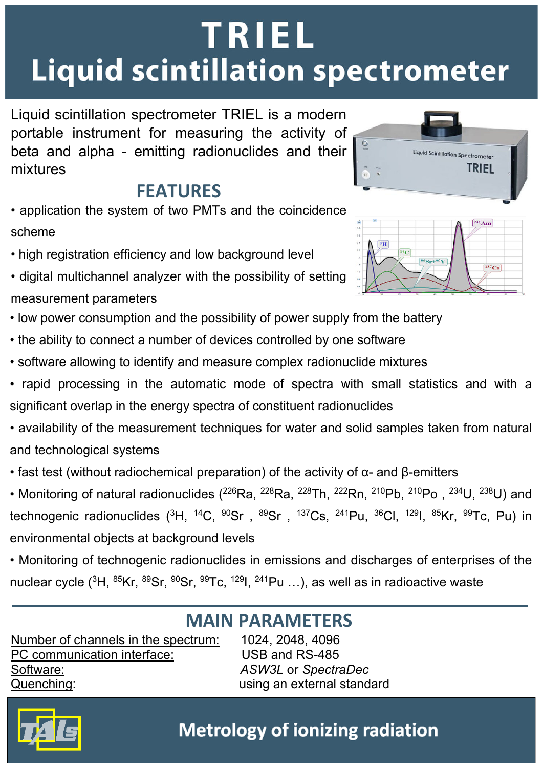# **TRIEL Liquid scintillation spectrometer**

Liquid scintillation spectrometer TRIEL is a modern portable instrument for measuring the activity of beta and alpha - emitting radionuclides and their mixtures

## **FEATURES**

- application the system of two PMTs and the coincidence scheme
- high registration efficiency and low background level
- digital multichannel analyzer with the possibility of setting measurement parameters
- low power consumption and the possibility of power supply from the battery
- the ability to connect a number of devices controlled by one software
- software allowing to identify and measure complex radionuclide mixtures
- rapid processing in the automatic mode of spectra with small statistics and with a significant overlap in the energy spectra of constituent radionuclides
- availability of the measurement techniques for water and solid samples taken from natural and technological systems
- fast test (without radiochemical preparation) of the activity of  $\alpha$  and β-emitters
- Monitoring of natural radionuclides (<sup>226</sup>Ra, <sup>228</sup>Ra, <sup>228</sup>Th, <sup>222</sup>Rn, <sup>210</sup>Pb, <sup>210</sup>Po, <sup>234</sup>U, <sup>238</sup>U) and technogenic radionuclides (<sup>3</sup>H, <sup>14</sup>C, <sup>90</sup>Sr, <sup>89</sup>Sr, <sup>137</sup>Cs, <sup>241</sup>Pu, <sup>36</sup>Cl, <sup>129</sup>l, <sup>85</sup>Kr, <sup>99</sup>Tc, Pu) in environmental objects at background levels

• Monitoring of technogenic radionuclides in emissions and discharges of enterprises of the nuclear cycle  $({}^{3}H, {}^{85}Kr, {}^{89}Sr, {}^{90}Sr, {}^{99}Tc, {}^{129}I, {}^{241}Pu$  ...), as well as in radioactive waste

## **MAIN PARAMETERS**

Number of channels in the spectrum: 1024, 2048, 4096 PC communication interface: USB and RS-485 Software: *ASW3L* or *SpectraDec* Quenching: using an external standard





#### **Metrology of ionizing radiation**